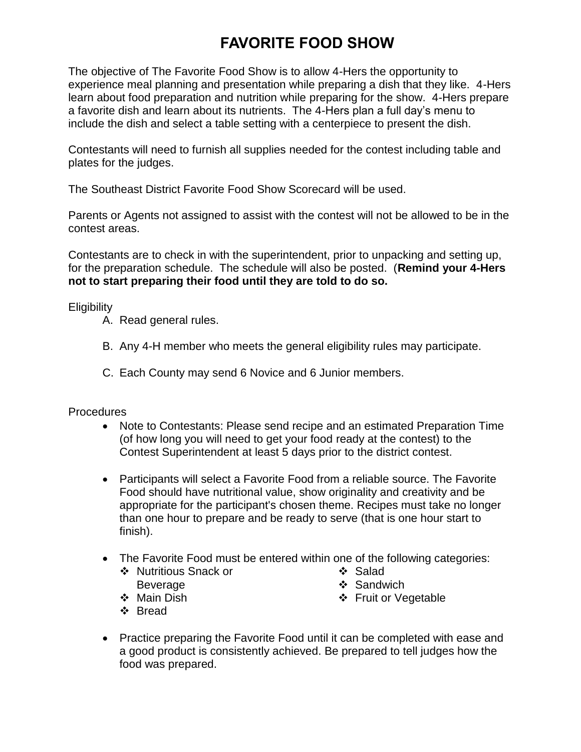## **FAVORITE FOOD SHOW**

The objective of The Favorite Food Show is to allow 4-Hers the opportunity to experience meal planning and presentation while preparing a dish that they like. 4-Hers learn about food preparation and nutrition while preparing for the show. 4-Hers prepare a favorite dish and learn about its nutrients. The 4-Hers plan a full day's menu to include the dish and select a table setting with a centerpiece to present the dish.

Contestants will need to furnish all supplies needed for the contest including table and plates for the judges.

The Southeast District Favorite Food Show Scorecard will be used.

Parents or Agents not assigned to assist with the contest will not be allowed to be in the contest areas.

Contestants are to check in with the superintendent, prior to unpacking and setting up, for the preparation schedule. The schedule will also be posted. (**Remind your 4-Hers not to start preparing their food until they are told to do so.**

**Eligibility** 

- A. Read general rules.
- B. Any 4-H member who meets the general eligibility rules may participate.
- C. Each County may send 6 Novice and 6 Junior members.

## **Procedures**

- Note to Contestants: Please send recipe and an estimated Preparation Time (of how long you will need to get your food ready at the contest) to the Contest Superintendent at least 5 days prior to the district contest.
- Participants will select a Favorite Food from a reliable source. The Favorite Food should have nutritional value, show originality and creativity and be appropriate for the participant's chosen theme. Recipes must take no longer than one hour to prepare and be ready to serve (that is one hour start to finish).
- The Favorite Food must be entered within one of the following categories:
	- ❖ Nutritious Snack or Beverage
- ❖ Salad
- ❖ Sandwich

❖ Main Dish

Fruit or Vegetable

- Bread
- Practice preparing the Favorite Food until it can be completed with ease and a good product is consistently achieved. Be prepared to tell judges how the food was prepared.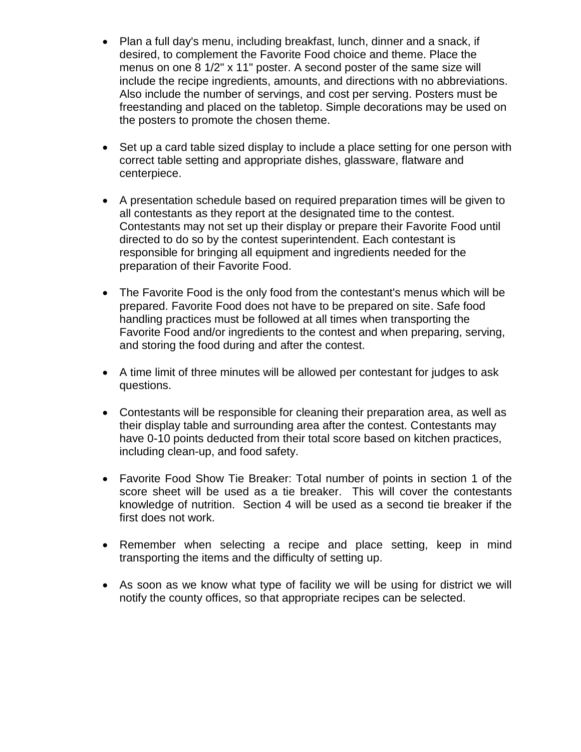- Plan a full day's menu, including breakfast, lunch, dinner and a snack, if desired, to complement the Favorite Food choice and theme. Place the menus on one 8 1/2" x 11" poster. A second poster of the same size will include the recipe ingredients, amounts, and directions with no abbreviations. Also include the number of servings, and cost per serving. Posters must be freestanding and placed on the tabletop. Simple decorations may be used on the posters to promote the chosen theme.
- Set up a card table sized display to include a place setting for one person with correct table setting and appropriate dishes, glassware, flatware and centerpiece.
- A presentation schedule based on required preparation times will be given to all contestants as they report at the designated time to the contest. Contestants may not set up their display or prepare their Favorite Food until directed to do so by the contest superintendent. Each contestant is responsible for bringing all equipment and ingredients needed for the preparation of their Favorite Food.
- The Favorite Food is the only food from the contestant's menus which will be prepared. Favorite Food does not have to be prepared on site. Safe food handling practices must be followed at all times when transporting the Favorite Food and/or ingredients to the contest and when preparing, serving, and storing the food during and after the contest.
- A time limit of three minutes will be allowed per contestant for judges to ask questions.
- Contestants will be responsible for cleaning their preparation area, as well as their display table and surrounding area after the contest. Contestants may have 0-10 points deducted from their total score based on kitchen practices, including clean-up, and food safety.
- Favorite Food Show Tie Breaker: Total number of points in section 1 of the score sheet will be used as a tie breaker. This will cover the contestants knowledge of nutrition. Section 4 will be used as a second tie breaker if the first does not work.
- Remember when selecting a recipe and place setting, keep in mind transporting the items and the difficulty of setting up.
- As soon as we know what type of facility we will be using for district we will notify the county offices, so that appropriate recipes can be selected.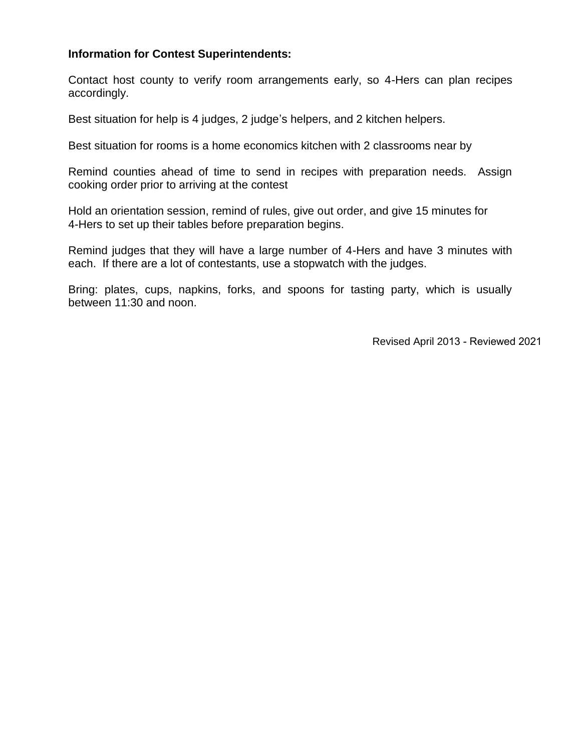## **Information for Contest Superintendents:**

Contact host county to verify room arrangements early, so 4-Hers can plan recipes accordingly.

Best situation for help is 4 judges, 2 judge's helpers, and 2 kitchen helpers.

Best situation for rooms is a home economics kitchen with 2 classrooms near by

Remind counties ahead of time to send in recipes with preparation needs. Assign cooking order prior to arriving at the contest

Hold an orientation session, remind of rules, give out order, and give 15 minutes for 4-Hers to set up their tables before preparation begins.

Remind judges that they will have a large number of 4-Hers and have 3 minutes with each. If there are a lot of contestants, use a stopwatch with the judges.

Bring: plates, cups, napkins, forks, and spoons for tasting party, which is usually between 11:30 and noon.

Revised April 2013 - Reviewed 2021